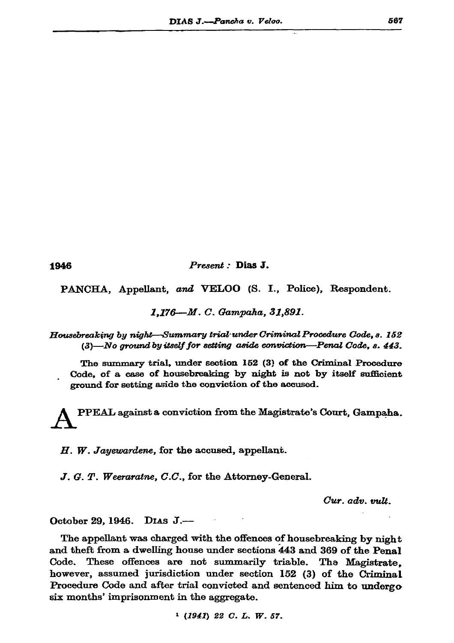1946

Present : Dias J.

PANCHA, Appellant, and VELOO (S. I., Police), Respondent.

1.176-M. C. Gampaha, 31,891.

Housebreaking by night-Summary trial under Criminal Procedure Code. s. 152  $(3)$ —No ground by itself for setting aside conviction—Penal Code, s. 443.

The summary trial, under section 152 (3) of the Criminal Procedure Code, of a case of housebreaking by night is not by itself sufficient ground for setting aside the conviction of the accused.

PPEAL against a conviction from the Magistrate's Court, Gampaha.

H. W. Jayewardene, for the accused, appellant.

J. G. T. Weeraraine, C.C., for the Attorney-General.

Cur. adv. vult.

Dias  $J$ . October 29, 1946.

The appellant was charged with the offences of housebreaking by night and theft from a dwelling house under sections 443 and 369 of the Penal Code. These offences are not summarily triable. The Magistrate. however, assumed jurisdiction under section 152 (3) of the Criminal Procedure Code and after trial convicted and sentenced him to undergo six months' imprisonment in the aggregate.

 $1$  (1941) 22 C. L. W. 57.